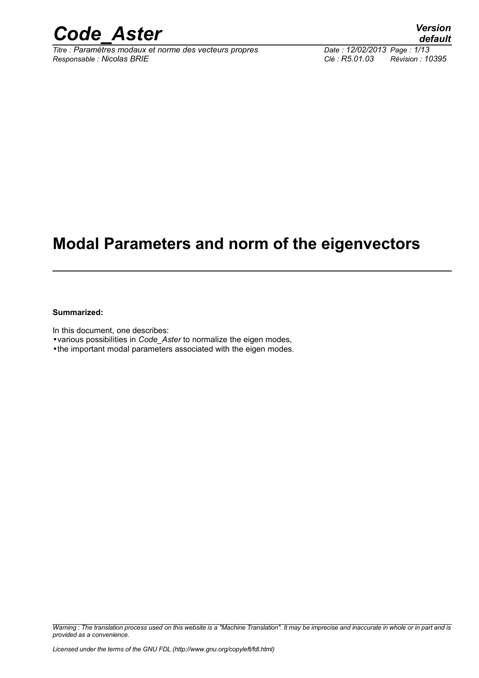

*Titre : Paramètres modaux et norme des vecteurs propres Date : 12/02/2013 Page : 1/13 Responsable : Nicolas BRIE Clé : R5.01.03 Révision : 10395*

## **Modal Parameters and norm of the eigenvectors**

#### **Summarized:**

In this document, one describes:

•various possibilities in *Code\_Aster* to normalize the eigen modes,

•the important modal parameters associated with the eigen modes.

*Warning : The translation process used on this website is a "Machine Translation". It may be imprecise and inaccurate in whole or in part and is provided as a convenience.*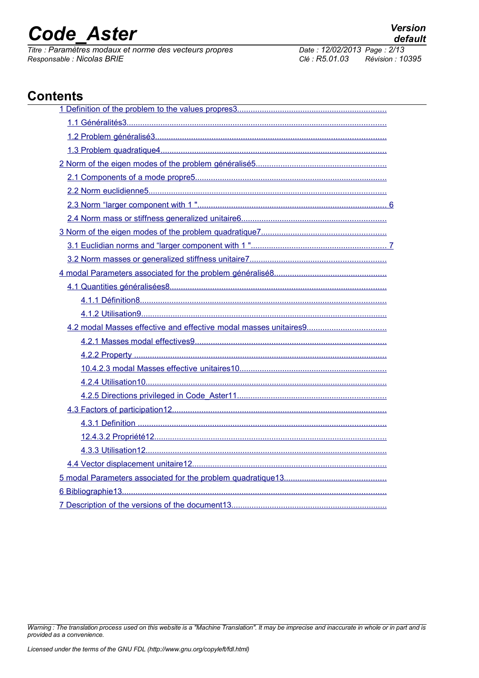*Titre : Paramètres modaux et norme des vecteurs propres Date : 12/02/20*<br> *Responsable : Nicolas BRIE Clé : R5.01.03 Responsable : Nicolas BRIE Clé : R5.01.03 Révision : 10395*

## **Contents**

*Warning : The translation process used on this website is a "Machine Translation". It may be imprecise and inaccurate in whole or in part and is provided as a convenience.*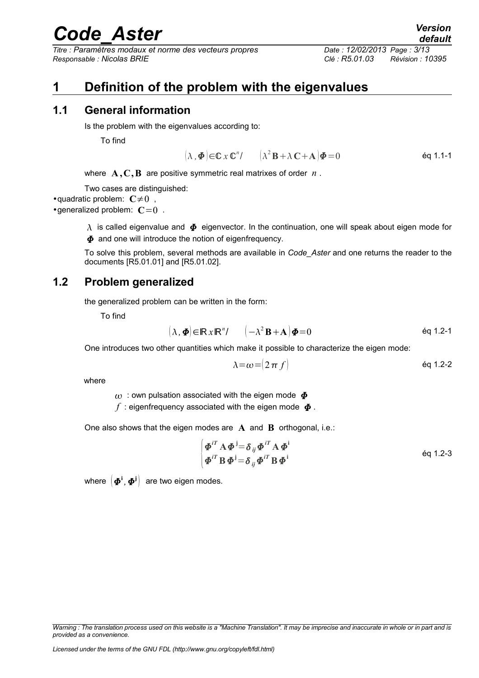*Titre : Paramètres modaux et norme des vecteurs propres Date : 12/02/2013 Page : 3/13 Responsable : Nicolas BRIE Clé : R5.01.03 Révision : 10395*

## <span id="page-2-0"></span>**1 Definition of the problem with the eigenvalues**

### **1.1 General information**

<span id="page-2-2"></span>Is the problem with the eigenvalues according to:

To find

$$
(\lambda, \boldsymbol{\Phi}) \in \mathbb{C} \times \mathbb{C}^n / \qquad (\lambda^2 \mathbf{B} + \lambda \mathbf{C} + \mathbf{A}) \boldsymbol{\Phi} = 0 \qquad \qquad \text{Eq 1.1-1}
$$

where **A ,C,B** are positive symmetric real matrixes of order *n* .

Two cases are distinguished:

•quadratic problem:  $C \neq 0$ ,

•generalized problem:  $C=0$ .

 $\lambda$  is called eigenvalue and  $\Phi$  eigenvector. In the continuation, one will speak about eigen mode for  $\Phi$  and one will introduce the notion of eigenfrequency.

To solve this problem, several methods are available in *Code\_Aster* and one returns the reader to the documents [R5.01.01] and [R5.01.02].

### **1.2 Problem generalized**

<span id="page-2-1"></span>the generalized problem can be written in the form:

To find

$$
(\lambda, \boldsymbol{\Phi}) \in \mathbb{R} \times \mathbb{R}^n / \qquad (-\lambda^2 \mathbf{B} + \mathbf{A}) \boldsymbol{\Phi} = 0 \tag{6q 1.2-1}
$$

One introduces two other quantities which make it possible to characterize the eigen mode:

$$
\lambda = \omega = (2 \pi f) \tag{6q 1.2-2}
$$

where

 $\omega$ : own pulsation associated with the eigen mode  $\boldsymbol{\Phi}$ 

 $f$  : eigenfrequency associated with the eigen mode  $\boldsymbol{\Phi}$ .

One also shows that the eigen modes are **A** and **B** orthogonal, i.e.:

$$
\begin{cases}\n\boldsymbol{\Phi}^{iT} \mathbf{A} \boldsymbol{\Phi}^{i} = \delta_{ij} \boldsymbol{\Phi}^{iT} \mathbf{A} \boldsymbol{\Phi}^{i} \\
\boldsymbol{\Phi}^{iT} \mathbf{B} \boldsymbol{\Phi}^{i} = \delta_{ij} \boldsymbol{\Phi}^{iT} \mathbf{B} \boldsymbol{\Phi}^{i}\n\end{cases}
$$
 eq 1.2-3

where  $\left(\boldsymbol{\varPhi}^{\text{i}},\boldsymbol{\varPhi}^{\text{j}}\right)$ are two eigen modes.

*Warning : The translation process used on this website is a "Machine Translation". It may be imprecise and inaccurate in whole or in part and is provided as a convenience.*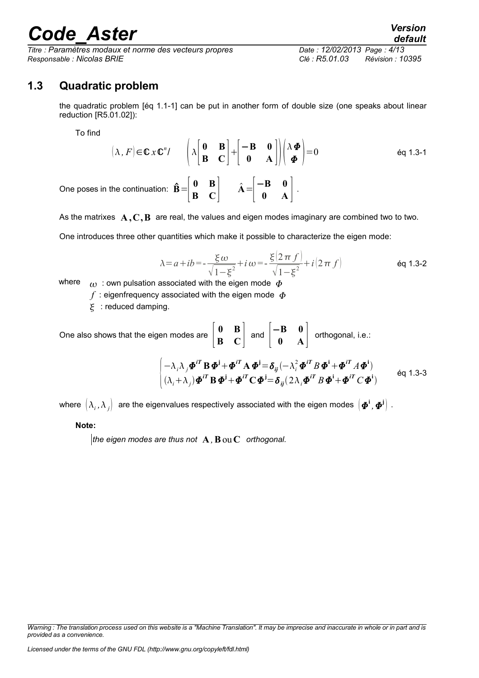*Titre : Paramètres modaux et norme des vecteurs propres Date : 12/02/2013 Page : 4/13 Responsable : Nicolas BRIE Clé : R5.01.03 Révision : 10395*

### **1.3 Quadratic problem**

<span id="page-3-0"></span>the quadratic problem [éq 1.1-1] can be put in another form of double size (one speaks about linear reduction [R5.01.02]):

To find

$$
(\lambda, F) \in \mathbb{C} \times \mathbb{C}^n / \qquad \left( \lambda \begin{bmatrix} \mathbf{0} & \mathbf{B} \\ \mathbf{B} & \mathbf{C} \end{bmatrix} + \begin{bmatrix} -\mathbf{B} & \mathbf{0} \\ \mathbf{0} & \mathbf{A} \end{bmatrix} \right) \left( \begin{array}{c} \lambda \boldsymbol{\Phi} \\ \boldsymbol{\Phi} \end{array} \right) = 0 \qquad \text{Eq 1.3-1}
$$
  
One poses in the continuation:  $\hat{\mathbf{B}} = \begin{bmatrix} \mathbf{0} & \mathbf{B} \\ \mathbf{B} & \mathbf{C} \end{bmatrix} \qquad \hat{\mathbf{A}} = \begin{bmatrix} -\mathbf{B} & \mathbf{0} \\ \mathbf{0} & \mathbf{A} \end{bmatrix}.$ 

As the matrixes  $A, C, B$  are real, the values and eigen modes imaginary are combined two to two.

One introduces three other quantities which make it possible to characterize the eigen mode:

$$
\lambda = a + ib = -\frac{\xi \omega}{\sqrt{1 - \xi^2}} + i \omega = -\frac{\xi (2\pi f)}{\sqrt{1 - \xi^2}} + i (2\pi f)
$$
 eq 1.3-2

where  $\omega$ : own pulsation associated with the eigen mode  $\Phi$ 

 $f$ : eigenfrequency associated with the eigen mode  $\Phi$ 

 $\epsilon$ : reduced damping.

One also shows that the eigen modes are 
$$
\begin{bmatrix} \mathbf{0} & \mathbf{B} \\ \mathbf{B} & \mathbf{C} \end{bmatrix}
$$
 and  $\begin{bmatrix} -\mathbf{B} & \mathbf{0} \\ \mathbf{0} & \mathbf{A} \end{bmatrix}$  orthogonal, i.e.:  
\n
$$
\begin{cases}\n-\lambda_i \lambda_j \boldsymbol{\Phi}^{iT} \mathbf{B} \boldsymbol{\Phi}^j + \boldsymbol{\Phi}^{iT} \mathbf{A} \boldsymbol{\Phi}^j = \delta_{ij}(-\lambda_i^2 \boldsymbol{\Phi}^{iT} B \boldsymbol{\Phi}^i + \boldsymbol{\Phi}^{iT} A \boldsymbol{\Phi}^i) \\
(\lambda_i + \lambda_j) \boldsymbol{\Phi}^{iT} \mathbf{B} \boldsymbol{\Phi}^j + \boldsymbol{\Phi}^{iT} \mathbf{C} \boldsymbol{\Phi}^j = \delta_{ij} (2\lambda_i \boldsymbol{\Phi}^{iT} B \boldsymbol{\Phi}^i + \boldsymbol{\Phi}^{iT} C \boldsymbol{\Phi}^i)\n\end{cases}
$$
 eq 1.3-3

where  $(\lambda_i, \lambda_j]$  are the eigenvalues respectively associated with the eigen modes  $[\bm{\varPhi}^{\bf i},\bm{\varPhi}^{\bf j}]$  .

#### **Note:**

*the eigen modes are thus not* **A** *,***B**ou**C** *orthogonal.*

*Warning : The translation process used on this website is a "Machine Translation". It may be imprecise and inaccurate in whole or in part and is provided as a convenience.*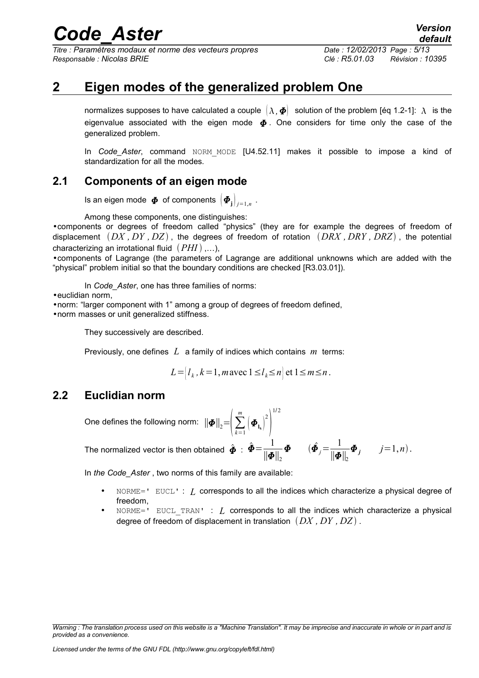*Titre : Paramètres modaux et norme des vecteurs propres Date : 12/02/2013 Page : 5/13 Responsable : Nicolas BRIE Clé : R5.01.03 Révision : 10395*

*default*

## **2 Eigen modes of the generalized problem One**

<span id="page-4-2"></span>normalizes supposes to have calculated a couple  $(\lambda, \Phi)$  solution of the problem [éq 1.2-1]:  $\lambda$  is the eigenvalue associated with the eigen mode  $\boldsymbol{\Phi}$ . One considers for time only the case of the generalized problem.

In *Code\_Aster*, command NORM MODE [U4.52.11] makes it possible to impose a kind of standardization for all the modes.

### **2.1 Components of an eigen mode**

<span id="page-4-1"></span>Is an eigen mode  $\boldsymbol{\varPhi}$  of components  $\big[\boldsymbol{\varPhi}_{\mathbf{j}}\big]_{j=1,n}$  .

Among these components, one distinguishes:

•components or degrees of freedom called "physics" (they are for example the degrees of freedom of displacement *DX , DY , DZ* , the degrees of freedom of rotation *DRX , DRY , DRZ* , the potential characterizing an irrotational fluid (PHI),...),

•components of Lagrange (the parameters of Lagrange are additional unknowns which are added with the "physical" problem initial so that the boundary conditions are checked [R3.03.01]).

In *Code* Aster, one has three families of norms:

•euclidian norm,

•norm: "larger component with 1" among a group of degrees of freedom defined,

•norm masses or unit generalized stiffness.

They successively are described.

Previously, one defines *L* a family of indices which contains *m* terms:

$$
L = |l_k, k = 1, m \text{ avec } 1 \le l_k \le n \text{ et } 1 \le m \le n.
$$

 $\left(\boldsymbol{\varPhi}_{\mathbf{l}_{\mathbf{k}}}\right)^2$ 

### **2.2 Euclidian norm**

<span id="page-4-0"></span>One defines the following norm:  $\|\bm{\varPhi}\|_{2}$ = $\Big|\sum_{k=1}^{\infty}$ 

The normalized vector is then obtained  $\hat{\bm{\phi}}$  :  $\hat{\bm{\phi}} = \frac{1}{\|\bm{\phi}\|}$  $\left\Vert \bm{\varPhi}\right\Vert _{2}$  $\boldsymbol{\Phi}=(\hat{\boldsymbol{\Phi}}_j=\frac{1}{\ln{\boldsymbol{\Phi}}}$  $\left\Vert \bm{\varPhi}\right\Vert _{2}$  $\Phi_j$  *j*=1,*n*).

*m*

In *the Code\_Aster* , two norms of this family are available:

• NORME=' EUCL' : *L* corresponds to all the indices which characterize a physical degree of freedom,

 $\vert$ 

1/ 2

• NORME=' EUCL\_TRAN' : *L* corresponds to all the indices which characterize a physical degree of freedom of displacement in translation *DX , DY , DZ* .

*Warning : The translation process used on this website is a "Machine Translation". It may be imprecise and inaccurate in whole or in part and is provided as a convenience.*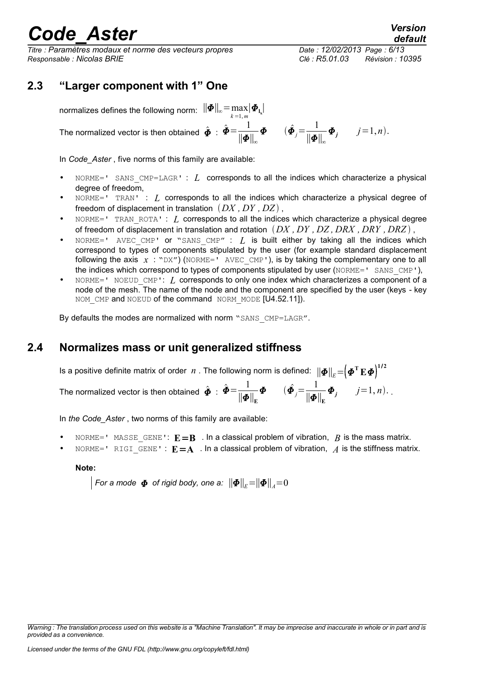*Titre : Paramètres modaux et norme des vecteurs propres Date : 12/02/2013 Page : 6/13 Responsable : Nicolas BRIE Clé : R5.01.03 Révision : 10395*

 $\Phi_j$   $j=1, n$ .

### **2.3 "Larger component with 1" One**

<span id="page-5-1"></span>normalizes defines the following norm:  $\|\bm{\varPhi}\|_{\infty} \!=\! \max\limits_{k=1,m} \!|\bm{\varPhi}_{\bm{\mathsf{I}}_k}|$ 

The normalized vector is then obtained  $\hat{\bm{\phi}}$  :  $\hat{\bm{\phi}} = \frac{1}{||\bm{\phi}||}$ 

In *Code\_Aster* , five norms of this family are available:

• NORME=' SANS\_CMP=LAGR' : *L* corresponds to all the indices which characterize a physical degree of freedom,

∥∥<sup>∞</sup>

 $\boldsymbol{\Phi}=(\hat{\boldsymbol{\Phi}}_j=\frac{1}{\|\boldsymbol{\Phi}\|_2})$ 

 $\|\bm{\varPhi}\|_{_\infty}$ 

- NORME=' TRAN' : *L* corresponds to all the indices which characterize a physical degree of freedom of displacement in translation  $(DX, DY, DZ)$ ,
- NORME=' TRAN ROTA' : *I*, corresponds to all the indices which characterize a physical degree of freedom of displacement in translation and rotation *DX , DY , DZ , DRX , DRY , DRZ* ,
- $NORME=$ <sup> $V$ </sup> AVEC CMP' or "SANS CMP" :  $L$  is built either by taking all the indices which correspond to types of components stipulated by the user (for example standard displacement following the axis  $x : "DX"$  (NORME=' AVEC CMP'), is by taking the complementary one to all the indices which correspond to types of components stipulated by user (NORME=' SANS CMP'),
- NORME=' NOEUD CMP': *I*, corresponds to only one index which characterizes a component of a node of the mesh. The name of the node and the component are specified by the user (keys - key NOM CMP and NOEUD of the command NORM MODE [U4.52.11]).

By defaults the modes are normalized with norm "SANS CMP=LAGR".

### **2.4 Normalizes mass or unit generalized stiffness**

<span id="page-5-0"></span>Is a positive definite matrix of order  $n$  . The following norm is defined:  $\|\bm{\Phi}\|_E{=} \Big(\bm{\phi}^{\rm T}\mathbf{E}\bm{\phi}\Big)^{1/2}$ The normalized vector is then obtained  $\hat{\bm{\phi}}$  :  $\hat{\bm{\phi}} = \frac{1}{\|\bm{\phi}\|}$  $\left\Vert \bm{\varPhi}\right\Vert_{\mathrm{E}}$  $\boldsymbol{\Phi}=(\hat{\boldsymbol{\Phi}}_j=\frac{1}{\|\boldsymbol{\Phi}\|}$  $\left\Vert \bm{\varPhi}\right\Vert_{\mathrm{E}}$  $\Phi_j$   $j=1, n$ .

In *the Code\_Aster* , two norms of this family are available:

- NORME=' MASSE GENE':  $\mathbf{E} = \mathbf{B}$  . In a classical problem of vibration, *B* is the mass matrix.
- NORME=' RIGI GENE' :  $E = A$  . In a classical problem of vibration,  $A$  is the stiffness matrix.

**Note:**

 $\|$  For a mode  $\| \boldsymbol{\Phi} \|_2$  of rigid body, one a:  $\| \boldsymbol{\Phi} \|_{_F} {=} \| \boldsymbol{\Phi} \|_{_A} {=} 0$ 

*Warning : The translation process used on this website is a "Machine Translation". It may be imprecise and inaccurate in whole or in part and is provided as a convenience.*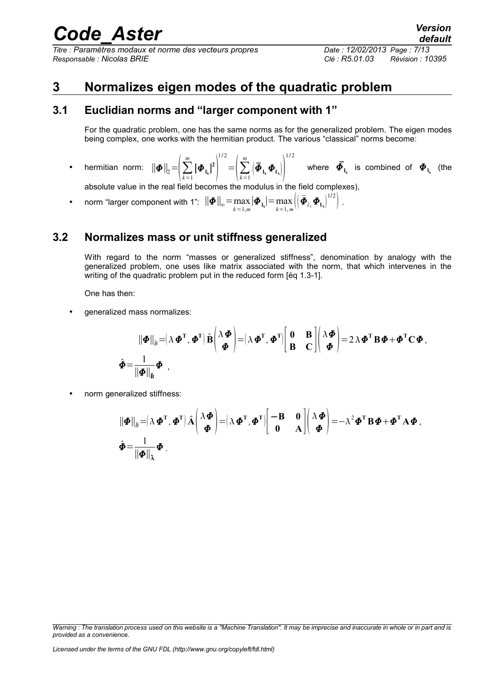*Titre : Paramètres modaux et norme des vecteurs propres Date : 12/02/2013 Page : 7/13 Responsable : Nicolas BRIE Clé : R5.01.03 Révision : 10395*

## <span id="page-6-2"></span>**3 Normalizes eigen modes of the quadratic problem**

### **3.1 Euclidian norms and "larger component with 1"**

<span id="page-6-1"></span>For the quadratic problem, one has the same norms as for the generalized problem. The eigen modes being complex, one works with the hermitian product. The various "classical" norms become:

• hermitian norm:  $\|\boldsymbol{\varPhi}\|_{2} = \Bigl|\sum_{k=1}$ *m*  $|\boldsymbol{\Phi}_{\mathbf{l}_\mathbf{k}}|^2$ 1/ 2  $=\Bigl(\sum_{k=1}$  $\sum_{i=1}^{m} \left( \boldsymbol{\bar{\Phi}}_{\mathbf{l}_{k}} \boldsymbol{\Phi}_{\mathbf{l}_{k}} \right) \right)^{1/2}$ 1/ 2 where  $\bar{\mathbf{\Phi}}_{_{\mathbf{l}_k}}$  is combined of  $\mathbf{\Phi}_{_{\mathbf{l}_k}}$  (the

absolute value in the real field becomes the modulus in the field complexes),

• norm "larger component with 1":  $||\boldsymbol{\Phi}||_{\infty} = \max_{k=1,m} |\boldsymbol{\Phi}_{1_k}| = \max_{k=1,m}$  $\max_{k=1, m} \left\langle \left( \boldsymbol{\bar{\Phi}}_{l_k} \boldsymbol{\varPhi}_{\mathbf{l_k}} \right)^{1/2} \right\rangle$ .

### **3.2 Normalizes mass or unit stiffness generalized**

<span id="page-6-0"></span>With regard to the norm "masses or generalized stiffness", denomination by analogy with the generalized problem, one uses like matrix associated with the norm, that which intervenes in the writing of the quadratic problem put in the reduced form [éq 1.3-1].

One has then:

• generalized mass normalizes:

$$
\|\boldsymbol{\Phi}\|_{\hat{\beta}} = (\lambda \boldsymbol{\Phi}^{\mathrm{T}}, \boldsymbol{\Phi}^{\mathrm{T}}) \hat{\mathbf{B}} \begin{pmatrix} \lambda \boldsymbol{\Phi} \\ \boldsymbol{\Phi} \end{pmatrix} = (\lambda \boldsymbol{\Phi}^{\mathrm{T}}, \boldsymbol{\Phi}^{\mathrm{T}}) \begin{bmatrix} \mathbf{0} & \mathbf{B} \\ \mathbf{B} & \mathbf{C} \end{bmatrix} \begin{pmatrix} \lambda \boldsymbol{\Phi} \\ \boldsymbol{\Phi} \end{pmatrix} = 2 \lambda \boldsymbol{\Phi}^{\mathrm{T}} \mathbf{B} \boldsymbol{\Phi} + \boldsymbol{\Phi}^{\mathrm{T}} \mathbf{C} \boldsymbol{\Phi},
$$

$$
\hat{\boldsymbol{\Phi}} = \frac{1}{\|\boldsymbol{\Phi}\|_{\hat{\mathbf{B}}}} \boldsymbol{\Phi} ,
$$

• norm generalized stiffness:

$$
\begin{aligned}\n\|\boldsymbol{\Phi}\|_{\hat{\boldsymbol{\beta}}} &= \left(\lambda \boldsymbol{\Phi}^{\mathrm{T}}, \boldsymbol{\Phi}^{\mathrm{T}}\right) \hat{\mathbf{A}} \begin{pmatrix} \lambda \boldsymbol{\Phi} \\ \boldsymbol{\Phi} \end{pmatrix} = \left(\lambda \boldsymbol{\Phi}^{\mathrm{T}}, \boldsymbol{\Phi}^{\mathrm{T}}\right) \begin{bmatrix} -\mathbf{B} & \mathbf{0} \\ \mathbf{0} & \mathbf{A} \end{bmatrix} \begin{pmatrix} \lambda \boldsymbol{\Phi} \\ \boldsymbol{\Phi} \end{pmatrix} = -\lambda^2 \boldsymbol{\Phi}^{\mathrm{T}} \mathbf{B} \boldsymbol{\Phi} + \boldsymbol{\Phi}^{\mathrm{T}} \mathbf{A} \boldsymbol{\Phi}\n\end{aligned}
$$
\n
$$
\hat{\boldsymbol{\Phi}} = \frac{1}{\|\boldsymbol{\Phi}\|_{\hat{\mathbf{A}}}} \boldsymbol{\Phi}.
$$

*Warning : The translation process used on this website is a "Machine Translation". It may be imprecise and inaccurate in whole or in part and is provided as a convenience.*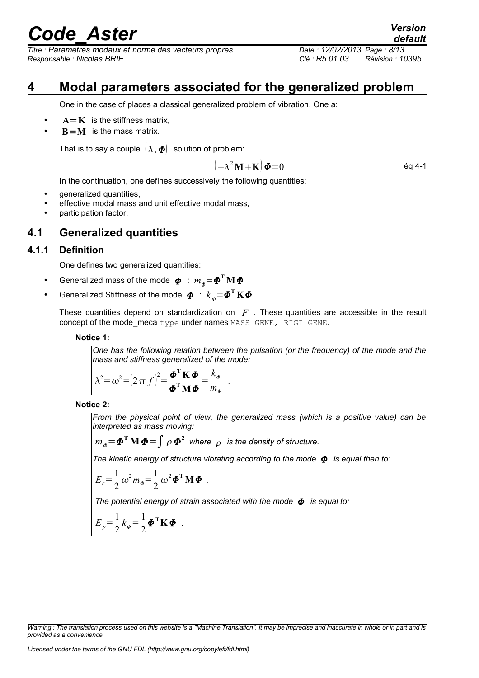*Titre : Paramètres modaux et norme des vecteurs propres Date : 12/02/2013 Page : 8/13 Responsable : Nicolas BRIE Clé : R5.01.03 Révision : 10395*

## **4 Modal parameters associated for the generalized problem**

<span id="page-7-2"></span>One in the case of places a classical generalized problem of vibration. One a:

- $A = K$  is the stiffness matrix,
- **is the mass matrix.**

That is to say a couple  $(\lambda, \Phi)$  solution of problem:

$$
(-\lambda^2 \mathbf{M} + \mathbf{K}) \boldsymbol{\Phi} = 0 \tag{6q 4-1}
$$

In the continuation, one defines successively the following quantities:

- generalized quantities,
- effective modal mass and unit effective modal mass,
- <span id="page-7-1"></span>• participation factor.

### **4.1 Generalized quantities**

#### **4.1.1 Definition**

<span id="page-7-0"></span>One defines two generalized quantities:

- Generalized mass of the mode  $\boldsymbol{\phi}$  :  $m_{\phi}$ = $\boldsymbol{\phi}^{\mathrm{T}}\mathbf{M}\boldsymbol{\phi}$  ,
- Generalized Stiffness of the mode  $\boldsymbol{\varPhi}\ :\ k_{_{\boldsymbol{\phi}}} {=} \boldsymbol{\varPhi}^\text{T} \mathbf{K} \boldsymbol{\varPhi}\enspace .$

These quantities depend on standardization on *F* . These quantities are accessible in the result concept of the mode\_meca type under names MASS\_GENE, RIGI\_GENE.

*.*

**Notice 1:**

*One has the following relation between the pulsation (or the frequency) of the mode and the mass and stiffness generalized of the mode:*

$$
\lambda^2 = \omega^2 = (2 \pi f)^2 = \frac{\boldsymbol{\Phi}^{\mathrm{T}} \mathbf{K} \boldsymbol{\Phi}}{\boldsymbol{\Phi}^{\mathrm{T}} \mathbf{M} \boldsymbol{\Phi}} = \frac{k_{\phi}}{m_{\phi}}
$$

#### **Notice 2:**

*From the physical point of view, the generalized mass (which is a positive value) can be interpreted as mass moving:* 

$$
m_{\phi} = \mathbf{\Phi}^{\mathrm{T}} \mathbf{M} \, \mathbf{\Phi} = \int \rho \, \mathbf{\Phi}^2 \quad \text{where} \quad \rho \quad \text{is the density of structure.}
$$

*The kinetic energy of structure vibrating according to the mode is equal then to:*

$$
E_c = \frac{1}{2} \omega^2 m_{\phi} = \frac{1}{2} \omega^2 \Phi^{\mathrm{T}} \mathbf{M} \Phi.
$$

*The potential energy of strain associated with the mode*  $\Phi$  *is equal to:* 

$$
E_p = \frac{1}{2} k_{\phi} = \frac{1}{2} {\boldsymbol{\Phi}}^{\mathrm{T}} {\mathbf{K}} {\boldsymbol{\Phi}} .
$$

*Warning : The translation process used on this website is a "Machine Translation". It may be imprecise and inaccurate in whole or in part and is provided as a convenience.*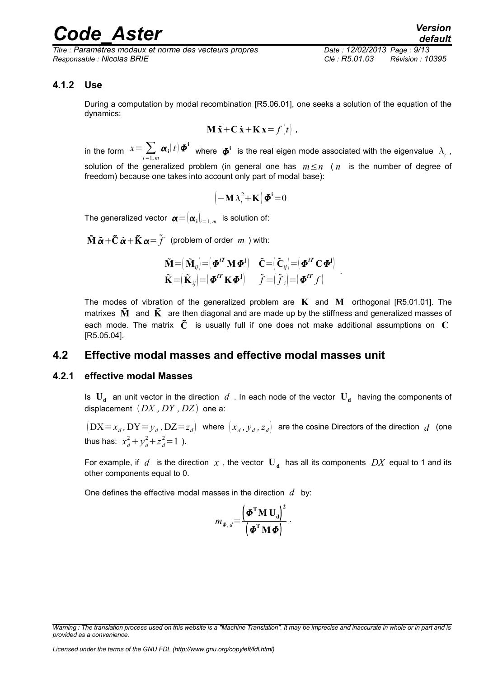*Titre : Paramètres modaux et norme des vecteurs propres Date : 12/02/2013 Page : 9/13 Responsable : Nicolas BRIE Clé : R5.01.03 Révision : 10395*

### **4.1.2 Use**

<span id="page-8-2"></span>During a computation by modal recombination [R5.06.01], one seeks a solution of the equation of the dynamics:

$$
\mathbf{M}\ddot{\mathbf{x}} + \mathbf{C}\dot{\mathbf{x}} + \mathbf{K}\mathbf{x} = f(t) ,
$$

in the form  $x=\sum\limits_{i=1,m}\bm{\alpha}_\mathbf{i}\big(t\big)\bm{\Phi}^\mathbf{i}$  where  $\bm{\varPhi}^\mathbf{i}$  is the real eigen mode associated with the eigenvalue  $\,\lambda_i\,$  , solution of the generalized problem (in general one has *m*≤*n* ( *n* is the number of degree of freedom) because one takes into account only part of modal base):

$$
\left(-\mathbf{M}\,\lambda_i^2\!+\!\mathbf{K}\right)\pmb{\varPhi}^i\!=\!0
$$

The generalized vector  $\boldsymbol{\alpha} \!=\! (\boldsymbol{\alpha}_\mathbf{i})_{i=1,m}$  is solution of:

**M** ¨ **C** ˙ **K** = *f* (problem of order *m* ) with:

$$
\tilde{\mathbf{M}} = (\tilde{\mathbf{M}}_{ij}) = (\boldsymbol{\Phi}^{iT} \mathbf{M} \boldsymbol{\Phi}^{i}) \quad \tilde{\mathbf{C}} = (\tilde{\mathbf{C}}_{ij}) = (\boldsymbol{\Phi}^{iT} \mathbf{C} \boldsymbol{\Phi}^{i}) \n\tilde{\mathbf{K}} = (\tilde{\mathbf{K}}_{ij}) = (\boldsymbol{\Phi}^{iT} \mathbf{K} \boldsymbol{\Phi}^{i}) \qquad \tilde{\mathbf{f}} = (\tilde{\mathbf{f}}_{i}) = (\boldsymbol{\Phi}^{iT} \mathbf{f})
$$

The modes of vibration of the generalized problem are **K** and **M** orthogonal [R5.01.01]. The matrixes  $\tilde{M}$  and  $\tilde{K}$  are then diagonal and are made up by the stiffness and generalized masses of each mode. The matrix **C** is usually full if one does not make additional assumptions on **C** [R5.05.04].

.

### <span id="page-8-1"></span>**4.2 Effective modal masses and effective modal masses unit**

#### **4.2.1 effective modal Masses**

<span id="page-8-0"></span>Is  $\mathbf{U_d}$  an unit vector in the direction  $d$  . In each node of the vector  $\mathbf{U_d}$  having the components of displacement  $(DX, DY, DZ)$  one a:

 $\left(\text{DX}=x_{d}^{}, \text{DY}=y_{d}^{}, \text{DZ}=z_{d}^{}\right]$  where  $\left(x_{d}^{}, y_{d}^{}, z_{d}^{}\right)$  are the cosine Directors of the direction  $\,d$  (one thus has:  $x_d^2 + y_d^2 + z_d^2 = 1$  ).

For example, if  $d$  is the direction  $x$  , the vector  $\mathbf{U}_{\mathbf{d}}$  has all its components  $\ DX$  equal to 1 and its other components equal to 0.

One defines the effective modal masses in the direction *d* by:

$$
m_{\Phi,d} = \frac{\left(\boldsymbol{\Phi}^{\mathrm{T}}\mathbf{M}\,\mathbf{U}_d\right)^2}{\left(\boldsymbol{\Phi}^{\mathrm{T}}\mathbf{M}\,\boldsymbol{\Phi}\right)}\,.
$$

*Warning : The translation process used on this website is a "Machine Translation". It may be imprecise and inaccurate in whole or in part and is provided as a convenience.*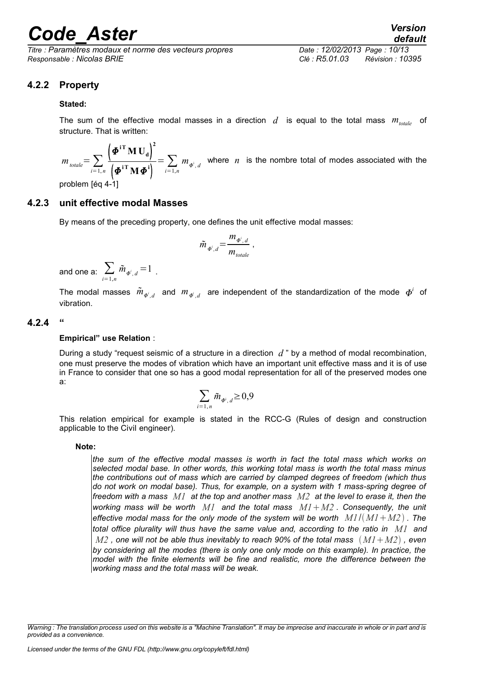*Titre : Paramètres modaux et norme des vecteurs propres Date : 12/02/2013 Page : 10/13 Responsable : Nicolas BRIE Clé : R5.01.03 Révision : 10395*

### **4.2.2 Property**

#### <span id="page-9-2"></span>**Stated:**

The sum of the effective modal masses in a direction  $d$  is equal to the total mass  $m_{total}$  of structure. That is written:

 $m_{\text{total}} = \sum_{i=1,n}$  $\left(\boldsymbol{\varPhi}^{\text{iT}}\mathbf{M}\,\mathbf{U}_{\text{d}}\right)^{\text{2}}$  $\left(\boldsymbol{\varPhi}^{\text{iT}}\mathbf{M}\boldsymbol{\varPhi}^{\text{i}}\right)$  $=\sum_{i=1,n} m_{\phi^i,d}$  where *n* is the nombre total of modes associated with the

<span id="page-9-1"></span>problem [éq 4-1]

### **4.2.3 unit effective modal Masses**

By means of the preceding property, one defines the unit effective modal masses:

$$
\tilde{m}_{\Phi^i,d} = \frac{m_{\Phi^i,d}}{m_{totale}} ,
$$

and one a:  $\sum\limits_{i=1,n}\tilde{m}_{\Phi^i,\,d}\!=\!1$  .

The modal masses  $\tilde{m}_{\Phi^i,d}$  and  $m_{\varPhi^i,d}$  are independent of the standardization of the mode  $\bm{\phi}^i$  of vibration.

### **4.2.4 "**

#### <span id="page-9-0"></span>**Empirical" use Relation** :

During a study "request seismic of a structure in a direction *d* " by a method of modal recombination, one must preserve the modes of vibration which have an important unit effective mass and it is of use in France to consider that one so has a good modal representation for all of the preserved modes one a:

$$
\sum_{i=1,n}\tilde{m}_{\varPhi^i,d}\geq 0,9
$$

This relation empirical for example is stated in the RCC-G (Rules of design and construction applicable to the Civil engineer).

#### **Note:**

*the sum of the effective modal masses is worth in fact the total mass which works on selected modal base. In other words, this working total mass is worth the total mass minus the contributions out of mass which are carried by clamped degrees of freedom (which thus do not work on modal base). Thus, for example, on a system with 1 mass-spring degree of freedom with a mass M1 at the top and another mass M2 at the level to erase it, then the working mass will be worth M1 and the total mass M1M2 . Consequently, the unit effective modal mass for the only mode of the system will be worth M1*/*M1M2 . The total office plurality will thus have the same value and, according to the ratio in M1 and*  $M2$  , one will not be able thus inevitably to reach 90% of the total mass  $(M1+M2)$  , even *by considering all the modes (there is only one only mode on this example). In practice, the model with the finite elements will be fine and realistic, more the difference between the working mass and the total mass will be weak.*

*Warning : The translation process used on this website is a "Machine Translation". It may be imprecise and inaccurate in whole or in part and is provided as a convenience.*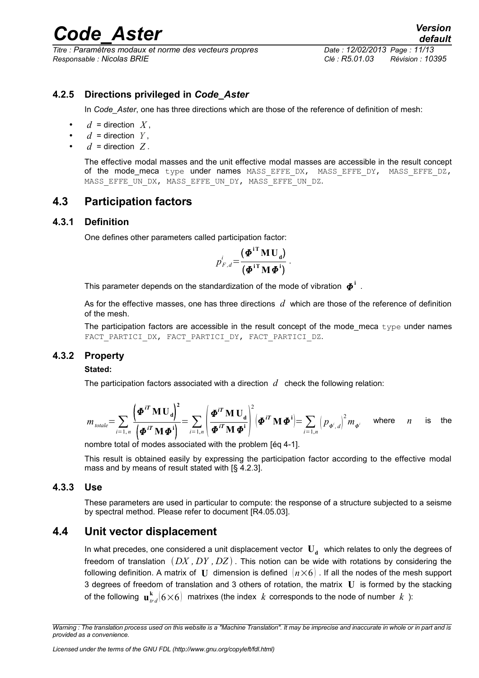*Titre : Paramètres modaux et norme des vecteurs propres Date : 12/02/2013 Page : 11/13 Responsable : Nicolas BRIE Clé : R5.01.03 Révision : 10395*

### **4.2.5 Directions privileged in** *Code\_Aster*

<span id="page-10-5"></span>In *Code* Aster, one has three directions which are those of the reference of definition of mesh:

- $d =$  direction  $X$ ,
- $d =$  direction  $Y$ .
- $d =$  direction  $Z$ .

The effective modal masses and the unit effective modal masses are accessible in the result concept of the mode\_meca type under names MASS EFFE DX, MASS EFFE DY, MASS EFFE DZ, MASS EFFE UN DX, MASS EFFE UN DY, MASS EFFE UN DZ.

### <span id="page-10-4"></span>**4.3 Participation factors**

### **4.3.1 Definition**

<span id="page-10-3"></span>One defines other parameters called participation factor:

$$
p_{F,d}^i = \frac{(\boldsymbol{\Phi}^{\mathrm{i} \mathrm{T}} \mathbf{M} \mathbf{U}_d)}{(\boldsymbol{\Phi}^{\mathrm{i} \mathrm{T}} \mathbf{M} \boldsymbol{\Phi}^{\mathrm{i}})}.
$$

This parameter depends on the standardization of the mode of vibration  $\boldsymbol{\varPhi}^{\text{i}}$  .

As for the effective masses, one has three directions *d* which are those of the reference of definition of the mesh.

The participation factors are accessible in the result concept of the mode\_meca  $type$  under names FACT PARTICI DX, FACT PARTICI DY, FACT PARTICI DZ.

### **4.3.2 Property**

#### <span id="page-10-2"></span>**Stated:**

The participation factors associated with a direction  $d$  check the following relation:

$$
m_{\text{total}} = \sum_{i=1,n} \frac{\left(\boldsymbol{\Phi}^{i T} \mathbf{M} \mathbf{U}_d\right)^2}{\left(\boldsymbol{\Phi}^{i T} \mathbf{M} \boldsymbol{\Phi}^i\right)} = \sum_{i=1,n} \left(\frac{\boldsymbol{\Phi}^{i T} \mathbf{M} \mathbf{U}_d}{\boldsymbol{\Phi}^{i T} \mathbf{M} \boldsymbol{\Phi}^i}\right)^2 \left(\boldsymbol{\Phi}^{i T} \mathbf{M} \boldsymbol{\Phi}^i\right) = \sum_{i=1,n} \left(p_{\boldsymbol{\Phi}^i, d}\right)^2 m_{\boldsymbol{\Phi}^i} \quad \text{where} \quad n \quad \text{is} \quad \text{the}
$$

nombre total of modes associated with the problem [éq 4-1].

This result is obtained easily by expressing the participation factor according to the effective modal mass and by means of result stated with [§ 4.2.3].

### **4.3.3 Use**

<span id="page-10-1"></span>These parameters are used in particular to compute: the response of a structure subjected to a seisme by spectral method. Please refer to document [R4.05.03].

### **4.4 Unit vector displacement**

<span id="page-10-0"></span>In what precedes, one considered a unit displacement vector  $|\mathbf{U_d}|$  which relates to only the degrees of freedom of translation *DX , DY , DZ* . This notion can be wide with rotations by considering the following definition. A matrix of **U** dimension is defined  $(n \times 6)$ . If all the nodes of the mesh support 3 degrees of freedom of translation and 3 others of rotation, the matrix **U** is formed by the stacking of the following  $\mathbf{u}_{rd}^{\mathbf{k}}(6{\times}6)\;$  matrixes (the index  $\,k\;$  corresponds to the node of number  $\,k\;$  ):

*Warning : The translation process used on this website is a "Machine Translation". It may be imprecise and inaccurate in whole or in part and is provided as a convenience.*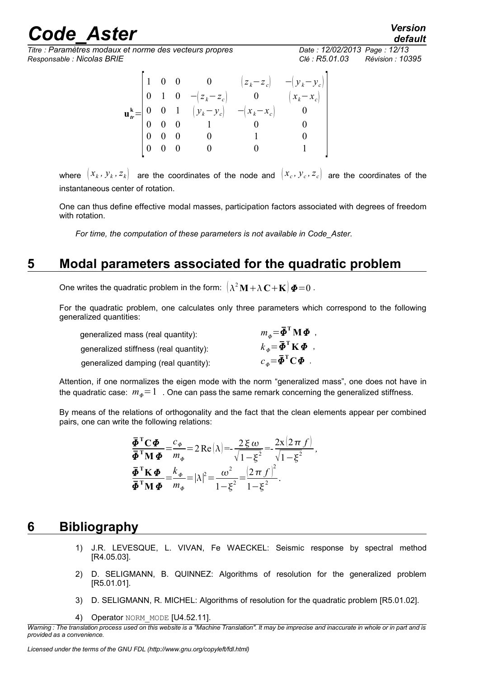*Titre : Paramètres modaux et norme des vecteurs propres Date : 12/02/2013 Page : 12/13 Responsable : Nicolas BRIE Clé : R5.01.03 Révision : 10395*

|  |  | $\begin{array}{cccc} 1 & 0 & 0 & 0 \end{array}$ | $\mathbf{u}_{tr}^{\mathbf{k}} = \begin{bmatrix} 0 & 1 & 0 & -(z_k - z_c) & 0 \\ 0 & 0 & 1 & (y_k - y_c) & -(x_k - x_c) \\ 0 & 0 & 0 & 1 & 0 \\ 0 & 0 & 0 & 1 & 0 \end{bmatrix}$ | $\begin{pmatrix} z_k - z_c \end{pmatrix}$ $-\begin{pmatrix} y_k - y_c \end{pmatrix}$<br>$\left(x_k - x_c\right)$ |
|--|--|-------------------------------------------------|---------------------------------------------------------------------------------------------------------------------------------------------------------------------------------|------------------------------------------------------------------------------------------------------------------|
|  |  |                                                 |                                                                                                                                                                                 |                                                                                                                  |
|  |  |                                                 |                                                                                                                                                                                 |                                                                                                                  |

where  $(x_k, y_k, z_k)$  are the coordinates of the node and  $(x_c, y_c, z_c)$  are the coordinates of the instantaneous center of rotation.

One can thus define effective modal masses, participation factors associated with degrees of freedom with rotation.

*For time, the computation of these parameters is not available in Code\_Aster.*

## **5 Modal parameters associated for the quadratic problem**

<span id="page-11-1"></span>One writes the quadratic problem in the form:  $\left(\lambda^2\mathbf{M} + \lambda\,\mathbf{C} + \mathbf{K}\right)\boldsymbol{\Phi} \!=\! 0$  .

For the quadratic problem, one calculates only three parameters which correspond to the following generalized quantities:

| generalized mass (real quantity):      | $m_{\phi} = \bar{\boldsymbol{\phi}}^{\mathrm{T}} \mathbf{M} \boldsymbol{\Phi}$ ,      |
|----------------------------------------|---------------------------------------------------------------------------------------|
| generalized stiffness (real quantity): | $k_{\phi} = \overline{\boldsymbol{\Phi}}^{\mathrm{T}} \mathbf{K} \boldsymbol{\Phi}$ , |
| generalized damping (real quantity):   | $c_{\phi} = \overline{\boldsymbol{\phi}}^{\mathrm{T}} \mathbf{C} \boldsymbol{\Phi}$ . |

Attention, if one normalizes the eigen mode with the norm "generalized mass", one does not have in the quadratic case:  $m_a=1$ . One can pass the same remark concerning the generalized stiffness.

By means of the relations of orthogonality and the fact that the clean elements appear per combined pairs, one can write the following relations:

$$
\frac{\bar{\Phi}^{\mathrm{T}}\mathbf{C}\Phi}{\bar{\Phi}^{\mathrm{T}}\mathbf{M}\Phi} = \frac{c_{\Phi}}{m_{\Phi}} = 2\operatorname{Re}\left(\lambda\right) = -\frac{2\xi\omega}{\sqrt{1-\xi^2}} = -\frac{2x(2\pi f)}{\sqrt{1-\xi^2}},
$$
\n
$$
\frac{\bar{\Phi}^{\mathrm{T}}\mathbf{K}\Phi}{\bar{\Phi}^{\mathrm{T}}\mathbf{M}\Phi} = \frac{k_{\Phi}}{m_{\Phi}} = |\lambda|^2 = \frac{\omega^2}{1-\xi^2} = \frac{\left(2\pi f\right)^2}{1-\xi^2}.
$$

## **6 Bibliography**

- <span id="page-11-0"></span>1) J.R. LEVESQUE, L. VIVAN, Fe WAECKEL: Seismic response by spectral method [R4.05.03].
- 2) D. SELIGMANN, B. QUINNEZ: Algorithms of resolution for the generalized problem [R5.01.01].
- 3) D. SELIGMANN, R. MICHEL: Algorithms of resolution for the quadratic problem [R5.01.02].
- 4) Operator NORM MODE [U4.52.11].

*default*

*Warning : The translation process used on this website is a "Machine Translation". It may be imprecise and inaccurate in whole or in part and is provided as a convenience.*